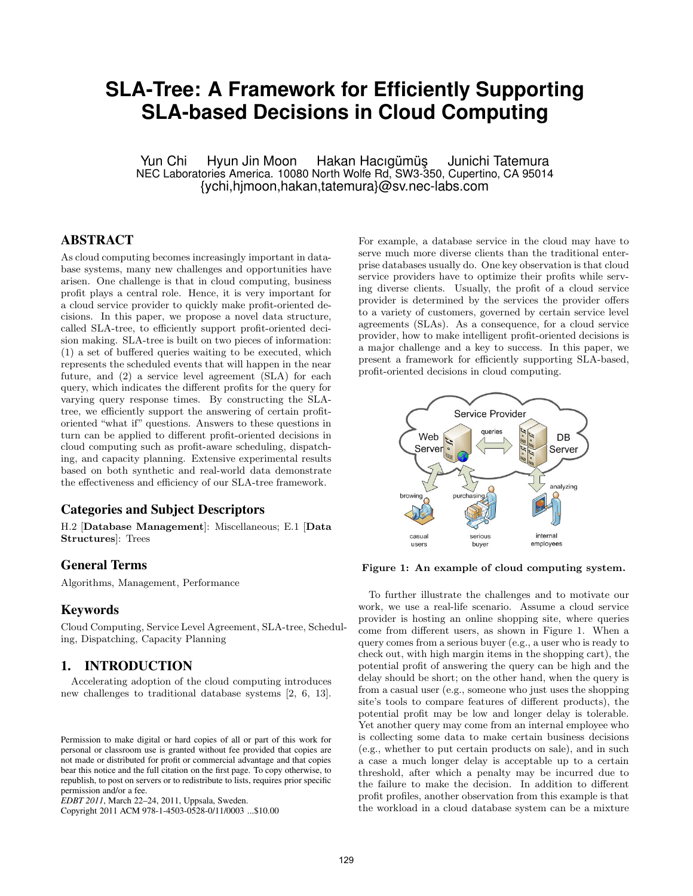# **SLA-Tree: A Framework for Efficiently Supporting SLA-based Decisions in Cloud Computing**

Yun Chi Hyun Jin Moon Hakan Hacıgümüş Junichi Tatemura NEC Laboratories America. 10080 North Wolfe Rd, SW3-350, Cupertino, CA 95014 {ychi,hjmoon,hakan,tatemura}@sv.nec-labs.com

# **ABSTRACT**

As cloud computing becomes increasingly important in database systems, many new challenges and opportunities have arisen. One challenge is that in cloud computing, business profit plays a central role. Hence, it is very important for a cloud service provider to quickly make profit-oriented decisions. In this paper, we propose a novel data structure, called SLA-tree, to efficiently support profit-oriented decision making. SLA-tree is built on two pieces of information: (1) a set of buffered queries waiting to be executed, which represents the scheduled events that will happen in the near future, and (2) a service level agreement (SLA) for each query, which indicates the different profits for the query for varying query response times. By constructing the SLAtree, we efficiently support the answering of certain profitoriented "what if" questions. Answers to these questions in turn can be applied to different profit-oriented decisions in cloud computing such as profit-aware scheduling, dispatching, and capacity planning. Extensive experimental results based on both synthetic and real-world data demonstrate the effectiveness and efficiency of our SLA-tree framework.

# **Categories and Subject Descriptors**

H.2 [Database Management]: Miscellaneous; E.1 [Data Structures]: Trees

## **General Terms**

Algorithms, Management, Performance

## **Keywords**

Cloud Computing, Service Level Agreement, SLA-tree, Scheduling, Dispatching, Capacity Planning

# **1. INTRODUCTION**

Accelerating adoption of the cloud computing introduces new challenges to traditional database systems [2, 6, 13].

Copyright 2011 ACM 978-1-4503-0528-0/11/0003 ...\$10.00

For example, a database service in the cloud may have to serve much more diverse clients than the traditional enterprise databases usually do. One key observation is that cloud service providers have to optimize their profits while serving diverse clients. Usually, the profit of a cloud service provider is determined by the services the provider offers to a variety of customers, governed by certain service level agreements (SLAs). As a consequence, for a cloud service provider, how to make intelligent profit-oriented decisions is a major challenge and a key to success. In this paper, we present a framework for efficiently supporting SLA-based, profit-oriented decisions in cloud computing.



Figure 1: An example of cloud computing system.

To further illustrate the challenges and to motivate our work, we use a real-life scenario. Assume a cloud service provider is hosting an online shopping site, where queries come from different users, as shown in Figure 1. When a query comes from a serious buyer (e.g., a user who is ready to check out, with high margin items in the shopping cart), the potential profit of answering the query can be high and the delay should be short; on the other hand, when the query is from a casual user (e.g., someone who just uses the shopping site's tools to compare features of different products), the potential profit may be low and longer delay is tolerable. Yet another query may come from an internal employee who is collecting some data to make certain business decisions (e.g., whether to put certain products on sale), and in such a case a much longer delay is acceptable up to a certain threshold, after which a penalty may be incurred due to the failure to make the decision. In addition to different profit profiles, another observation from this example is that the workload in a cloud database system can be a mixture

Permission to make digital or hard copies of all or part of this work for personal or classroom use is granted without fee provided that copies are not made or distributed for profit or commercial advantage and that copies bear this notice and the full citation on the first page. To copy otherwise, to republish, to post on servers or to redistribute to lists, requires prior specific permission and/or a fee.

*EDBT 2011*, March 22–24, 2011, Uppsala, Sweden.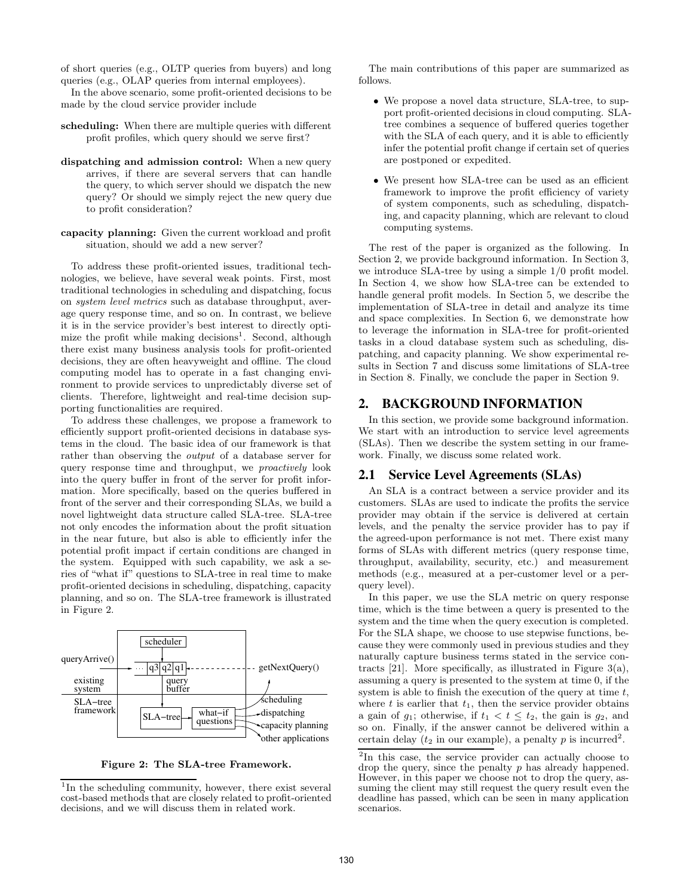of short queries (e.g., OLTP queries from buyers) and long queries (e.g., OLAP queries from internal employees).

In the above scenario, some profit-oriented decisions to be made by the cloud service provider include

- scheduling: When there are multiple queries with different profit profiles, which query should we serve first?
- dispatching and admission control: When a new query arrives, if there are several servers that can handle the query, to which server should we dispatch the new query? Or should we simply reject the new query due to profit consideration?
- capacity planning: Given the current workload and profit situation, should we add a new server?

To address these profit-oriented issues, traditional technologies, we believe, have several weak points. First, most traditional technologies in scheduling and dispatching, focus on *system level metrics* such as database throughput, average query response time, and so on. In contrast, we believe it is in the service provider's best interest to directly optimize the profit while making decisions<sup>1</sup>. Second, although there exist many business analysis tools for profit-oriented decisions, they are often heavyweight and offline. The cloud computing model has to operate in a fast changing environment to provide services to unpredictably diverse set of clients. Therefore, lightweight and real-time decision supporting functionalities are required.

To address these challenges, we propose a framework to efficiently support profit-oriented decisions in database systems in the cloud. The basic idea of our framework is that rather than observing the *output* of a database server for query response time and throughput, we *proactively* look into the query buffer in front of the server for profit information. More specifically, based on the queries buffered in front of the server and their corresponding SLAs, we build a novel lightweight data structure called SLA-tree. SLA-tree not only encodes the information about the profit situation in the near future, but also is able to efficiently infer the potential profit impact if certain conditions are changed in the system. Equipped with such capability, we ask a series of "what if" questions to SLA-tree in real time to make profit-oriented decisions in scheduling, dispatching, capacity planning, and so on. The SLA-tree framework is illustrated in Figure 2.



Figure 2: The SLA-tree Framework.

The main contributions of this paper are summarized as follows.

- We propose a novel data structure, SLA-tree, to support profit-oriented decisions in cloud computing. SLAtree combines a sequence of buffered queries together with the SLA of each query, and it is able to efficiently infer the potential profit change if certain set of queries are postponed or expedited.
- We present how SLA-tree can be used as an efficient framework to improve the profit efficiency of variety of system components, such as scheduling, dispatching, and capacity planning, which are relevant to cloud computing systems.

The rest of the paper is organized as the following. In Section 2, we provide background information. In Section 3, we introduce SLA-tree by using a simple 1/0 profit model. In Section 4, we show how SLA-tree can be extended to handle general profit models. In Section 5, we describe the implementation of SLA-tree in detail and analyze its time and space complexities. In Section 6, we demonstrate how to leverage the information in SLA-tree for profit-oriented tasks in a cloud database system such as scheduling, dispatching, and capacity planning. We show experimental results in Section 7 and discuss some limitations of SLA-tree in Section 8. Finally, we conclude the paper in Section 9.

# **2. BACKGROUND INFORMATION**

In this section, we provide some background information. We start with an introduction to service level agreements (SLAs). Then we describe the system setting in our framework. Finally, we discuss some related work.

#### **2.1 Service Level Agreements (SLAs)**

An SLA is a contract between a service provider and its customers. SLAs are used to indicate the profits the service provider may obtain if the service is delivered at certain levels, and the penalty the service provider has to pay if the agreed-upon performance is not met. There exist many forms of SLAs with different metrics (query response time, throughput, availability, security, etc.) and measurement methods (e.g., measured at a per-customer level or a perquery level).

In this paper, we use the SLA metric on query response time, which is the time between a query is presented to the system and the time when the query execution is completed. For the SLA shape, we choose to use stepwise functions, because they were commonly used in previous studies and they naturally capture business terms stated in the service contracts [21]. More specifically, as illustrated in Figure  $3(a)$ , assuming a query is presented to the system at time 0, if the system is able to finish the execution of the query at time  $t$ , where  $t$  is earlier that  $t_1$ , then the service provider obtains a gain of  $g_1$ ; otherwise, if  $t_1 < t \leq t_2$ , the gain is  $g_2$ , and so on. Finally, if the answer cannot be delivered within a certain delay  $(t_2 \text{ in our example})$ , a penalty p is incurred<sup>2</sup>.

<sup>&</sup>lt;sup>1</sup>In the scheduling community, however, there exist several cost-based methods that are closely related to profit-oriented decisions, and we will discuss them in related work.

<sup>&</sup>lt;sup>2</sup>In this case, the service provider can actually choose to drop the query, since the penalty p has already happened. However, in this paper we choose not to drop the query, assuming the client may still request the query result even the deadline has passed, which can be seen in many application scenarios.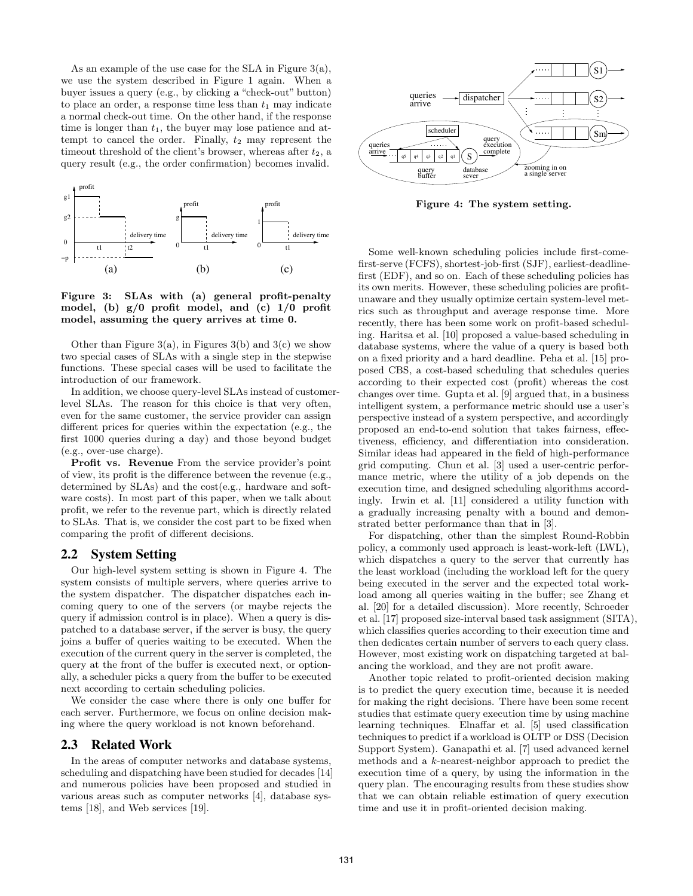As an example of the use case for the SLA in Figure 3(a), we use the system described in Figure 1 again. When a buyer issues a query (e.g., by clicking a "check-out" button) to place an order, a response time less than  $t_1$  may indicate a normal check-out time. On the other hand, if the response time is longer than  $t_1$ , the buyer may lose patience and attempt to cancel the order. Finally,  $t_2$  may represent the timeout threshold of the client's browser, whereas after  $t_2$ , a query result (e.g., the order confirmation) becomes invalid.



Figure 3: SLAs with (a) general profit-penalty model, (b) g/0 profit model, and (c) 1/0 profit model, assuming the query arrives at time 0.

Other than Figure  $3(a)$ , in Figures  $3(b)$  and  $3(c)$  we show two special cases of SLAs with a single step in the stepwise functions. These special cases will be used to facilitate the introduction of our framework.

In addition, we choose query-level SLAs instead of customerlevel SLAs. The reason for this choice is that very often, even for the same customer, the service provider can assign different prices for queries within the expectation (e.g., the first 1000 queries during a day) and those beyond budget (e.g., over-use charge).

Profit vs. Revenue From the service provider's point of view, its profit is the difference between the revenue (e.g., determined by SLAs) and the cost(e.g., hardware and software costs). In most part of this paper, when we talk about profit, we refer to the revenue part, which is directly related to SLAs. That is, we consider the cost part to be fixed when comparing the profit of different decisions.

#### **2.2 System Setting**

Our high-level system setting is shown in Figure 4. The system consists of multiple servers, where queries arrive to the system dispatcher. The dispatcher dispatches each incoming query to one of the servers (or maybe rejects the query if admission control is in place). When a query is dispatched to a database server, if the server is busy, the query joins a buffer of queries waiting to be executed. When the execution of the current query in the server is completed, the query at the front of the buffer is executed next, or optionally, a scheduler picks a query from the buffer to be executed next according to certain scheduling policies.

We consider the case where there is only one buffer for each server. Furthermore, we focus on online decision making where the query workload is not known beforehand.

#### **2.3 Related Work**

In the areas of computer networks and database systems, scheduling and dispatching have been studied for decades [14] and numerous policies have been proposed and studied in various areas such as computer networks [4], database systems [18], and Web services [19].



Figure 4: The system setting.

Some well-known scheduling policies include first-comefirst-serve (FCFS), shortest-job-first (SJF), earliest-deadlinefirst (EDF), and so on. Each of these scheduling policies has its own merits. However, these scheduling policies are profitunaware and they usually optimize certain system-level metrics such as throughput and average response time. More recently, there has been some work on profit-based scheduling. Haritsa et al. [10] proposed a value-based scheduling in database systems, where the value of a query is based both on a fixed priority and a hard deadline. Peha et al. [15] proposed CBS, a cost-based scheduling that schedules queries according to their expected cost (profit) whereas the cost changes over time. Gupta et al. [9] argued that, in a business intelligent system, a performance metric should use a user's perspective instead of a system perspective, and accordingly proposed an end-to-end solution that takes fairness, effectiveness, efficiency, and differentiation into consideration. Similar ideas had appeared in the field of high-performance grid computing. Chun et al. [3] used a user-centric performance metric, where the utility of a job depends on the execution time, and designed scheduling algorithms accordingly. Irwin et al. [11] considered a utility function with a gradually increasing penalty with a bound and demonstrated better performance than that in [3].

For dispatching, other than the simplest Round-Robbin policy, a commonly used approach is least-work-left (LWL), which dispatches a query to the server that currently has the least workload (including the workload left for the query being executed in the server and the expected total workload among all queries waiting in the buffer; see Zhang et al. [20] for a detailed discussion). More recently, Schroeder et al. [17] proposed size-interval based task assignment (SITA), which classifies queries according to their execution time and then dedicates certain number of servers to each query class. However, most existing work on dispatching targeted at balancing the workload, and they are not profit aware.

Another topic related to profit-oriented decision making is to predict the query execution time, because it is needed for making the right decisions. There have been some recent studies that estimate query execution time by using machine learning techniques. Elnaffar et al. [5] used classification techniques to predict if a workload is OLTP or DSS (Decision Support System). Ganapathi et al. [7] used advanced kernel methods and a k-nearest-neighbor approach to predict the execution time of a query, by using the information in the query plan. The encouraging results from these studies show that we can obtain reliable estimation of query execution time and use it in profit-oriented decision making.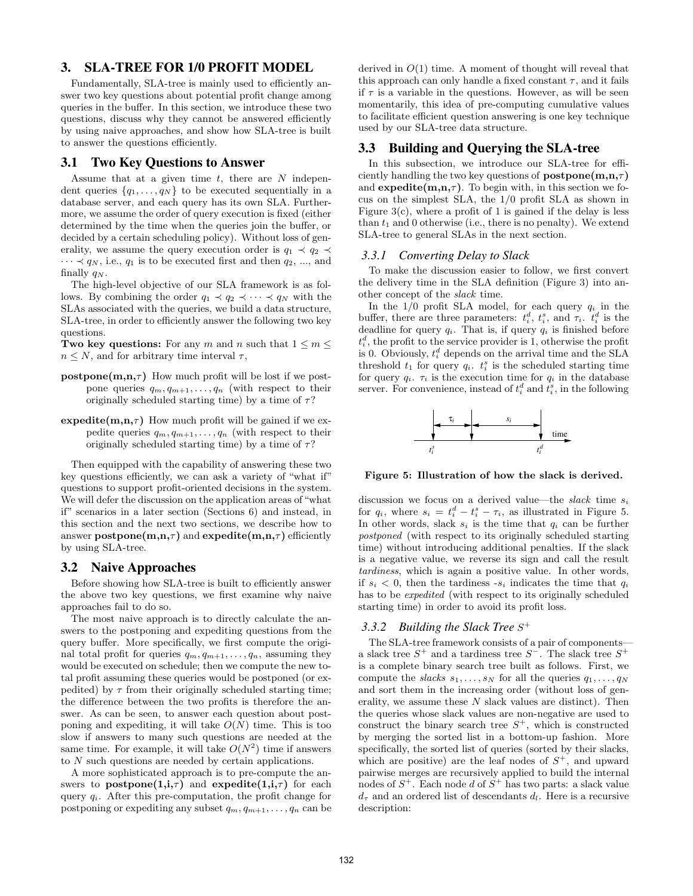#### **3. SLA-TREE FOR 1/0 PROFIT MODEL**

Fundamentally, SLA-tree is mainly used to efficiently answer two key questions about potential profit change among queries in the buffer. In this section, we introduce these two questions, discuss why they cannot be answered efficiently by using naive approaches, and show how SLA-tree is built to answer the questions efficiently.

#### **3.1 Two Key Questions to Answer**

Assume that at a given time  $t$ , there are  $N$  independent queries  $\{q_1, \ldots, q_N\}$  to be executed sequentially in a database server, and each query has its own SLA. Furthermore, we assume the order of query execution is fixed (either determined by the time when the queries join the buffer, or decided by a certain scheduling policy). Without loss of generality, we assume the query execution order is  $q_1 \prec q_2 \prec$  $\cdots \prec q_N$ , i.e.,  $q_1$  is to be executed first and then  $q_2, ...,$  and finally  $q_N$ .

The high-level objective of our SLA framework is as follows. By combining the order  $q_1 \prec q_2 \prec \cdots \prec q_N$  with the SLAs associated with the queries, we build a data structure, SLA-tree, in order to efficiently answer the following two key questions.

**Two key questions:** For any m and n such that  $1 \le m \le$  $n \leq N$ , and for arbitrary time interval  $\tau$ ,

- **postpone(m,n,** $\tau$ ) How much profit will be lost if we postpone queries  $q_m, q_{m+1}, \ldots, q_n$  (with respect to their originally scheduled starting time) by a time of  $\tau$ ?
- $\mathbf{expected}(m,n,\tau)$  How much profit will be gained if we expedite queries  $q_m, q_{m+1}, \ldots, q_n$  (with respect to their originally scheduled starting time) by a time of  $\tau$ ?

Then equipped with the capability of answering these two key questions efficiently, we can ask a variety of "what if" questions to support profit-oriented decisions in the system. We will defer the discussion on the application areas of "what if" scenarios in a later section (Sections 6) and instead, in this section and the next two sections, we describe how to answer  $postcone(m,n,\tau)$  and  $expedite(m,n,\tau)$  efficiently by using SLA-tree.

#### **3.2 Naive Approaches**

Before showing how SLA-tree is built to efficiently answer the above two key questions, we first examine why naive approaches fail to do so.

The most naive approach is to directly calculate the answers to the postponing and expediting questions from the query buffer. More specifically, we first compute the original total profit for queries  $q_m, q_{m+1}, \ldots, q_n$ , assuming they would be executed on schedule; then we compute the new total profit assuming these queries would be postponed (or expedited) by  $\tau$  from their originally scheduled starting time; the difference between the two profits is therefore the answer. As can be seen, to answer each question about postponing and expediting, it will take  $O(N)$  time. This is too slow if answers to many such questions are needed at the same time. For example, it will take  $O(N^2)$  time if answers to N such questions are needed by certain applications.

A more sophisticated approach is to pre-compute the answers to **postpone** $(1,i,\tau)$  and **expedite** $(1,i,\tau)$  for each query  $q_i$ . After this pre-computation, the profit change for postponing or expediting any subset  $q_m, q_{m+1}, \ldots, q_n$  can be

derived in  $O(1)$  time. A moment of thought will reveal that this approach can only handle a fixed constant  $\tau$ , and it fails if  $\tau$  is a variable in the questions. However, as will be seen momentarily, this idea of pre-computing cumulative values to facilitate efficient question answering is one key technique used by our SLA-tree data structure.

#### **3.3 Building and Querying the SLA-tree**

In this subsection, we introduce our SLA-tree for efficiently handling the two key questions of  $postcone(m,n,\tau)$ and  ${\bf expectedite(m,n,\tau)}$ . To begin with, in this section we focus on the simplest SLA, the 1/0 profit SLA as shown in Figure  $3(c)$ , where a profit of 1 is gained if the delay is less than  $t_1$  and 0 otherwise (i.e., there is no penalty). We extend SLA-tree to general SLAs in the next section.

#### *3.3.1 Converting Delay to Slack*

To make the discussion easier to follow, we first convert the delivery time in the SLA definition (Figure 3) into another concept of the *slack* time.

In the  $1/0$  profit SLA model, for each query  $q_i$  in the buffer, there are three parameters:  $t_i^d$ ,  $t_i^s$ , and  $\tau_i$ .  $t_i^d$  is the deadline for query  $q_i$ . That is, if query  $q_i$  is finished before  $t_i^d$ , the profit to the service provider is 1, otherwise the profit is 0. Obviously,  $t_i^d$  depends on the arrival time and the SLA threshold  $t_1$  for query  $q_i$ .  $t_i^s$  is the scheduled starting time for query  $q_i$ .  $\tau_i$  is the execution time for  $q_i$  in the database server. For convenience, instead of  $t_i^d$  and  $t_i^s$ , in the following



Figure 5: Illustration of how the slack is derived.

discussion we focus on a derived value—the *slack* time s<sup>i</sup> for  $q_i$ , where  $s_i = t_i^d - t_i^s - \tau_i$ , as illustrated in Figure 5. In other words, slack  $s_i$  is the time that  $q_i$  can be further *postponed* (with respect to its originally scheduled starting time) without introducing additional penalties. If the slack is a negative value, we reverse its sign and call the result *tardiness*, which is again a positive value. In other words, if  $s_i < 0$ , then the tardiness  $-s_i$  indicates the time that  $q_i$ has to be *expedited* (with respect to its originally scheduled starting time) in order to avoid its profit loss.

# *3.3.2 Building the Slack Tree* S +

The SLA-tree framework consists of a pair of components a slack tree  $S^+$  and a tardiness tree  $S^-$ . The slack tree  $S^+$ is a complete binary search tree built as follows. First, we compute the *slacks*  $s_1, \ldots, s_N$  for all the queries  $q_1, \ldots, q_N$ and sort them in the increasing order (without loss of generality, we assume these  $N$  slack values are distinct). Then the queries whose slack values are non-negative are used to construct the binary search tree  $S^+$ , which is constructed by merging the sorted list in a bottom-up fashion. More specifically, the sorted list of queries (sorted by their slacks, which are positive) are the leaf nodes of  $S^+$ , and upward pairwise merges are recursively applied to build the internal nodes of  $S^+$ . Each node d of  $S^+$  has two parts: a slack value  $d_{\tau}$  and an ordered list of descendants  $d_{l}$ . Here is a recursive description: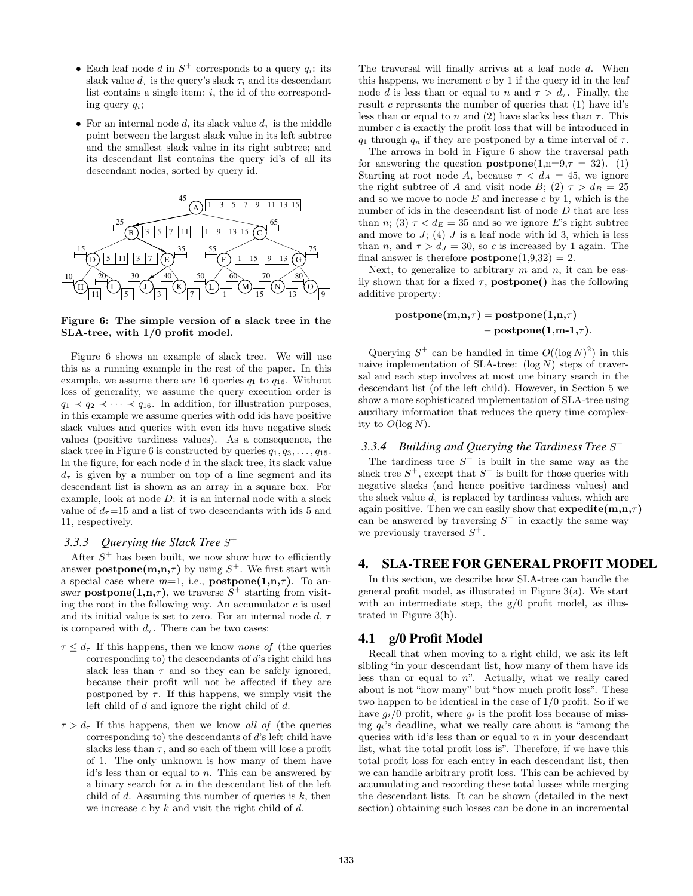- Each leaf node d in  $S^+$  corresponds to a query  $q_i$ : its slack value  $d_{\tau}$  is the query's slack  $\tau_i$  and its descendant list contains a single item:  $i$ , the id of the corresponding query  $q_i$ ;
- For an internal node d, its slack value  $d_{\tau}$  is the middle point between the largest slack value in its left subtree and the smallest slack value in its right subtree; and its descendant list contains the query id's of all its descendant nodes, sorted by query id.



Figure 6: The simple version of a slack tree in the SLA-tree, with 1/0 profit model.

Figure 6 shows an example of slack tree. We will use this as a running example in the rest of the paper. In this example, we assume there are 16 queries  $q_1$  to  $q_{16}$ . Without loss of generality, we assume the query execution order is  $q_1 \prec q_2 \prec \cdots \prec q_{16}$ . In addition, for illustration purposes, in this example we assume queries with odd ids have positive slack values and queries with even ids have negative slack values (positive tardiness values). As a consequence, the slack tree in Figure 6 is constructed by queries  $q_1, q_3, \ldots, q_{15}$ . In the figure, for each node  $d$  in the slack tree, its slack value  $d_{\tau}$  is given by a number on top of a line segment and its descendant list is shown as an array in a square box. For example, look at node D: it is an internal node with a slack value of  $d_{\tau}=15$  and a list of two descendants with ids 5 and 11, respectively.

# *3.3.3 Querying the Slack Tree* S +

After  $S^+$  has been built, we now show how to efficiently answer **postpone** $(m,n,\tau)$  by using  $S^+$ . We first start with a special case where  $m=1$ , i.e., **postpone** $(1,n,\tau)$ . To answer **postpone** $(1,n,\tau)$ , we traverse  $S^+$  starting from visiting the root in the following way. An accumulator  $c$  is used and its initial value is set to zero. For an internal node  $d, \tau$ is compared with  $d_{\tau}$ . There can be two cases:

- $\tau \leq d_{\tau}$  If this happens, then we know *none of* (the queries corresponding to) the descendants of d's right child has slack less than  $\tau$  and so they can be safely ignored, because their profit will not be affected if they are postponed by  $\tau$ . If this happens, we simply visit the left child of d and ignore the right child of d.
- $\tau > d_{\tau}$  If this happens, then we know *all of* (the queries corresponding to) the descendants of d's left child have slacks less than  $\tau$ , and so each of them will lose a profit of 1. The only unknown is how many of them have id's less than or equal to  $n$ . This can be answered by a binary search for  $n$  in the descendant list of the left child of  $d$ . Assuming this number of queries is  $k$ , then we increase  $c$  by  $k$  and visit the right child of  $d$ .

The traversal will finally arrives at a leaf node d. When this happens, we increment  $c$  by 1 if the query id in the leaf node d is less than or equal to n and  $\tau > d_{\tau}$ . Finally, the result  $c$  represents the number of queries that  $(1)$  have id's less than or equal to n and (2) have slacks less than  $\tau$ . This number c is exactly the profit loss that will be introduced in  $q_1$  through  $q_n$  if they are postponed by a time interval of  $\tau$ .

The arrows in bold in Figure 6 show the traversal path for answering the question  $postcone(1, n=9, \tau = 32)$ . (1) Starting at root node A, because  $\tau < d_A = 45$ , we ignore the right subtree of A and visit node B; (2)  $\tau > d_B = 25$ and so we move to node  $E$  and increase  $c$  by 1, which is the number of ids in the descendant list of node  $D$  that are less than n; (3)  $\tau < d_E = 35$  and so we ignore E's right subtree and move to  $J$ ; (4)  $J$  is a leaf node with id 3, which is less than n, and  $\tau > d_J = 30$ , so c is increased by 1 again. The final answer is therefore  $postcone(1,9,32) = 2$ .

Next, to generalize to arbitrary  $m$  and  $n$ , it can be easily shown that for a fixed  $\tau$ , **postpone**() has the following additive property:

$$
\begin{aligned} \mathop{\mathrm{postpone}}(m,n,\tau) &= \mathop{\mathrm{postpone}}(1,n,\tau) \\ &\quad - \mathop{\mathrm{postpone}}(1,m\text{-}1,\tau). \end{aligned}
$$

Querying  $S^+$  can be handled in time  $O((\log N)^2)$  in this naive implementation of SLA-tree:  $(\log N)$  steps of traversal and each step involves at most one binary search in the descendant list (of the left child). However, in Section 5 we show a more sophisticated implementation of SLA-tree using auxiliary information that reduces the query time complexity to  $O(\log N)$ .

# *3.3.4 Building and Querying the Tardiness Tree* S −

The tardiness tree  $S^-$  is built in the same way as the slack tree  $S^+$ , except that  $S^-$  is built for those queries with negative slacks (and hence positive tardiness values) and the slack value  $d_{\tau}$  is replaced by tardiness values, which are again positive. Then we can easily show that  $expedite(m,n,τ)$ can be answered by traversing  $S^-$  in exactly the same way we previously traversed  $S^+$ .

#### **4. SLA-TREE FOR GENERAL PROFIT MODEL**

In this section, we describe how SLA-tree can handle the general profit model, as illustrated in Figure 3(a). We start with an intermediate step, the  $g/0$  profit model, as illustrated in Figure 3(b).

#### **4.1 g/0 Profit Model**

Recall that when moving to a right child, we ask its left sibling "in your descendant list, how many of them have ids less than or equal to  $n$ ". Actually, what we really cared about is not "how many" but "how much profit loss". These two happen to be identical in the case of 1/0 profit. So if we have  $q_i/0$  profit, where  $q_i$  is the profit loss because of missing  $q_i$ 's deadline, what we really care about is "among the queries with id's less than or equal to  $n$  in your descendant list, what the total profit loss is". Therefore, if we have this total profit loss for each entry in each descendant list, then we can handle arbitrary profit loss. This can be achieved by accumulating and recording these total losses while merging the descendant lists. It can be shown (detailed in the next section) obtaining such losses can be done in an incremental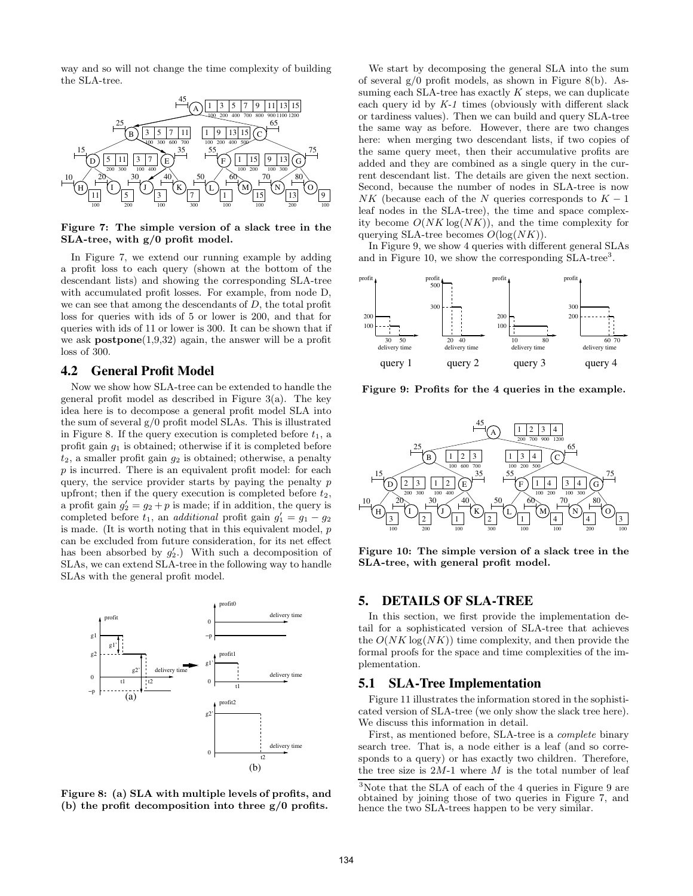way and so will not change the time complexity of building the SLA-tree.



Figure 7: The simple version of a slack tree in the SLA-tree, with g/0 profit model.

In Figure 7, we extend our running example by adding a profit loss to each query (shown at the bottom of the descendant lists) and showing the corresponding SLA-tree with accumulated profit losses. For example, from node D, we can see that among the descendants of D, the total profit loss for queries with ids of 5 or lower is 200, and that for queries with ids of 11 or lower is 300. It can be shown that if we ask  $postcone(1,9,32)$  again, the answer will be a profit loss of 300.

## **4.2 General Profit Model**

Now we show how SLA-tree can be extended to handle the general profit model as described in Figure  $3(a)$ . The key idea here is to decompose a general profit model SLA into the sum of several g/0 profit model SLAs. This is illustrated in Figure 8. If the query execution is completed before  $t_1$ , a profit gain  $g_1$  is obtained; otherwise if it is completed before  $t_2$ , a smaller profit gain  $g_2$  is obtained; otherwise, a penalty  $p$  is incurred. There is an equivalent profit model: for each query, the service provider starts by paying the penalty  $p$ upfront; then if the query execution is completed before  $t_2$ , a profit gain  $g'_2 = g_2 + p$  is made; if in addition, the query is completed before  $t_1$ , an *additional* profit gain  $g'_1 = g_1 - g_2$ is made. (It is worth noting that in this equivalent model,  $p$ can be excluded from future consideration, for its net effect has been absorbed by  $g'_2$ .) With such a decomposition of SLAs, we can extend SLA-tree in the following way to handle SLAs with the general profit model.



Figure 8: (a) SLA with multiple levels of profits, and (b) the profit decomposition into three  $g/0$  profits.

We start by decomposing the general SLA into the sum of several  $g/0$  profit models, as shown in Figure 8(b). Assuming each SLA-tree has exactly  $K$  steps, we can duplicate each query id by *K-1* times (obviously with different slack or tardiness values). Then we can build and query SLA-tree the same way as before. However, there are two changes here: when merging two descendant lists, if two copies of the same query meet, then their accumulative profits are added and they are combined as a single query in the current descendant list. The details are given the next section. Second, because the number of nodes in SLA-tree is now  $NK$  (because each of the N queries corresponds to  $K - 1$ leaf nodes in the SLA-tree), the time and space complexity become  $O(NK \log(NK))$ , and the time complexity for querying SLA-tree becomes  $O(log(NK))$ .

In Figure 9, we show 4 queries with different general SLAs and in Figure 10, we show the corresponding SLA-tree<sup>3</sup>.



Figure 9: Profits for the 4 queries in the example.



Figure 10: The simple version of a slack tree in the SLA-tree, with general profit model.

#### **5. DETAILS OF SLA-TREE**

In this section, we first provide the implementation detail for a sophisticated version of SLA-tree that achieves the  $O(NK \log(NK))$  time complexity, and then provide the formal proofs for the space and time complexities of the implementation.

#### **5.1 SLA-Tree Implementation**

Figure 11 illustrates the information stored in the sophisticated version of SLA-tree (we only show the slack tree here). We discuss this information in detail.

First, as mentioned before, SLA-tree is a *complete* binary search tree. That is, a node either is a leaf (and so corresponds to a query) or has exactly two children. Therefore, the tree size is  $2M-1$  where M is the total number of leaf

<sup>3</sup>Note that the SLA of each of the 4 queries in Figure 9 are obtained by joining those of two queries in Figure 7, and hence the two SLA-trees happen to be very similar.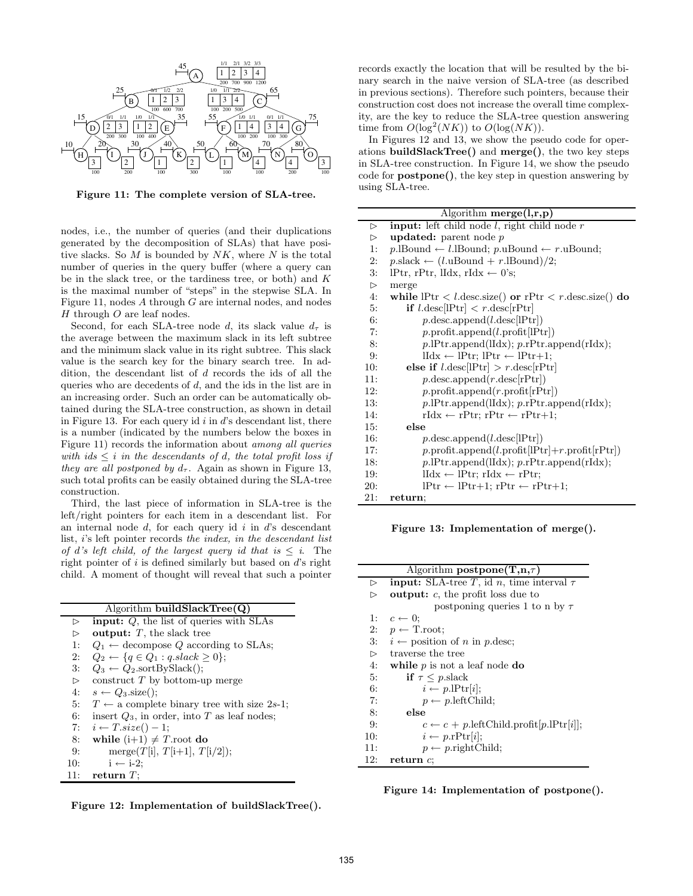

Figure 11: The complete version of SLA-tree.

nodes, i.e., the number of queries (and their duplications generated by the decomposition of SLAs) that have positive slacks. So  $M$  is bounded by  $NK$ , where  $N$  is the total number of queries in the query buffer (where a query can be in the slack tree, or the tardiness tree, or both) and  $K$ is the maximal number of "steps" in the stepwise SLA. In Figure 11, nodes A through G are internal nodes, and nodes  $H$  through  $O$  are leaf nodes.

Second, for each SLA-tree node d, its slack value  $d_{\tau}$  is the average between the maximum slack in its left subtree and the minimum slack value in its right subtree. This slack value is the search key for the binary search tree. In addition, the descendant list of d records the ids of all the queries who are decedents of d, and the ids in the list are in an increasing order. Such an order can be automatically obtained during the SLA-tree construction, as shown in detail in Figure 13. For each query id  $i$  in  $d$ 's descendant list, there is a number (indicated by the numbers below the boxes in Figure 11) records the information about *among all queries with ids*  $\leq i$  *in the descendants of d, the total profit loss if they are all postponed by*  $d_{\tau}$ . Again as shown in Figure 13, such total profits can be easily obtained during the SLA-tree construction.

Third, the last piece of information in SLA-tree is the left/right pointers for each item in a descendant list. For an internal node  $d$ , for each query id  $i$  in  $d$ 's descendant list, i's left pointer records *the index, in the descendant list of* d's left child, of the largest query id that is  $\leq i$ . The right pointer of  $i$  is defined similarly but based on  $d$ 's right child. A moment of thought will reveal that such a pointer

|                  | Algorithm buildSlackTree $(Q)$                        |
|------------------|-------------------------------------------------------|
| ⊳                | <b>input:</b> $Q$ , the list of queries with SLAs     |
| ⊳                | <b>output:</b> $T$ , the slack tree                   |
| 1:               | $Q_1 \leftarrow$ decompose Q according to SLAs:       |
| 2:               | $Q_2 \leftarrow \{q \in Q_1 : q, slack > 0\};$        |
| 3:               | $Q_3 \leftarrow Q_2.\text{sortBySlack}$ .             |
| $\triangleright$ | construct $T$ by bottom-up merge                      |
| 4:               | $s \leftarrow Q_3$ size();                            |
| 5:               | $T \leftarrow$ a complete binary tree with size 2s-1; |
| 6:               | insert $Q_3$ , in order, into T as leaf nodes;        |
| 7:               | $i \leftarrow T.size() - 1;$                          |
| 8:               | while $(i+1) \neq T$ root do                          |
| 9:               | merge $(T[i], T[i+1], T[i/2])$ ;                      |
| 10:              | $i \leftarrow i-2$                                    |
| 11:              | return $T$ :                                          |

Figure 12: Implementation of buildSlackTree().

records exactly the location that will be resulted by the binary search in the naive version of SLA-tree (as described in previous sections). Therefore such pointers, because their construction cost does not increase the overall time complexity, are the key to reduce the SLA-tree question answering time from  $O(\log^2(NK))$  to  $O(\log(NK))$ .

In Figures 12 and 13, we show the pseudo code for operations buildSlackTree() and merge(), the two key steps in SLA-tree construction. In Figure 14, we show the pseudo code for postpone(), the key step in question answering by using SLA-tree.

|                  | Algorithm $merge(l,r,p)$                                                  |
|------------------|---------------------------------------------------------------------------|
| $\triangleright$ | <b>input:</b> left child node $l$ , right child node $r$                  |
| $\triangleright$ | <b>updated:</b> parent node $p$                                           |
| 1:               | $p$ . Bound $\leftarrow$ l. Bound; $p$ . uBound $\leftarrow$ r. uBound;   |
| 2:               | $p.\text{slack} \leftarrow (l.\text{uBound} + r.\text{IBound})/2;$        |
| 3:               | $lPtr, rPtr, Ildx, rldx \leftarrow 0$ 's;                                 |
| $\triangleright$ | merge                                                                     |
| 4:               | while $Ptr < l$ desc size() or rPtr $\langle r$ desc size() do            |
| 5:               | if $l.\text{desc}[\text{lPtr}] < r.\text{desc}[\text{rPtr}]$              |
| 6:               | $p.\text{desc.append}(l.\text{desc}[\text{lPtr}])$                        |
| 7:               | $p$ .profit.append(l.profit[lPtr])                                        |
| 8:               | $p$ .lPtr.append(lIdx); $p$ .rPtr.append(rIdx);                           |
| 9:               | $ldx \leftarrow IPtr$ ; $IPtr \leftarrow IPtr+1$ ;                        |
| 10:              | else if $l.\text{desc}[\text{lPtr}] > r.\text{desc}[\text{rPtr}]$         |
| 11:              | $p.\text{desc.append}(r.\text{desc[rPtr]})$                               |
| 12:              | $p$ .profit.append $(r$ .profit $[rPtr])$                                 |
| 13:              | $p$ .lPtr.append(lIdx); $p$ .rPtr.append(rIdx);                           |
| 14:              | $rldx \leftarrow rPtr; rPtr \leftarrow rPtr+1;$                           |
| 15:              | else                                                                      |
| 16:              | $p.\text{desc.append}(l.\text{desc}[\text{lPtr}])$                        |
| 17:              | $p.\text{profit.append}(l.\text{profit} lPr +r.\text{profit} rPr )$       |
| 18:              | $p$ . Ptr. append(IIdx); $p$ . rPtr. append(rIdx);                        |
| 19:              | $\text{lldx} \leftarrow \text{lPtr}; \text{rldx} \leftarrow \text{rPtr};$ |
| 20:              | $lPtr \leftarrow lPtr+1$ ; r $Ptr \leftarrow rPtr+1$ ;                    |
| 21:              | return:                                                                   |

Figure 13: Implementation of merge().

|     | Algorithm postpone( $\mathbf{T}, \mathbf{n}, \tau$ )       |
|-----|------------------------------------------------------------|
| ⊳   | <b>input:</b> SLA-tree T, id n, time interval $\tau$       |
|     | <b>output:</b> $c$ , the profit loss due to                |
|     | postponing queries 1 to n by $\tau$                        |
| 1:  | $c \leftarrow 0$                                           |
|     | 2: $p \leftarrow T$ .root:                                 |
| 3:  | $i \leftarrow$ position of <i>n</i> in <i>p</i> .desc;     |
| ⊳   | traverse the tree                                          |
| 4:  | while $p$ is not a leaf node do                            |
| 5:  | if $\tau \leq p$ slack                                     |
| 6:  | $i \leftarrow p \cdot \text{IPtr}[i];$                     |
| 7:  | $p \leftarrow p$ .leftChild;                               |
| 8:  | else                                                       |
| 9:  | $c \leftarrow c + p$ .leftChild.profit $[p]$ .lPtr $[i]$ ; |
| 10: | $i \leftarrow p.\text{rPtr}[i];$                           |
| 11: | $p \leftarrow p$ .rightChild;                              |
| 12: | return $c$ :                                               |

Figure 14: Implementation of postpone().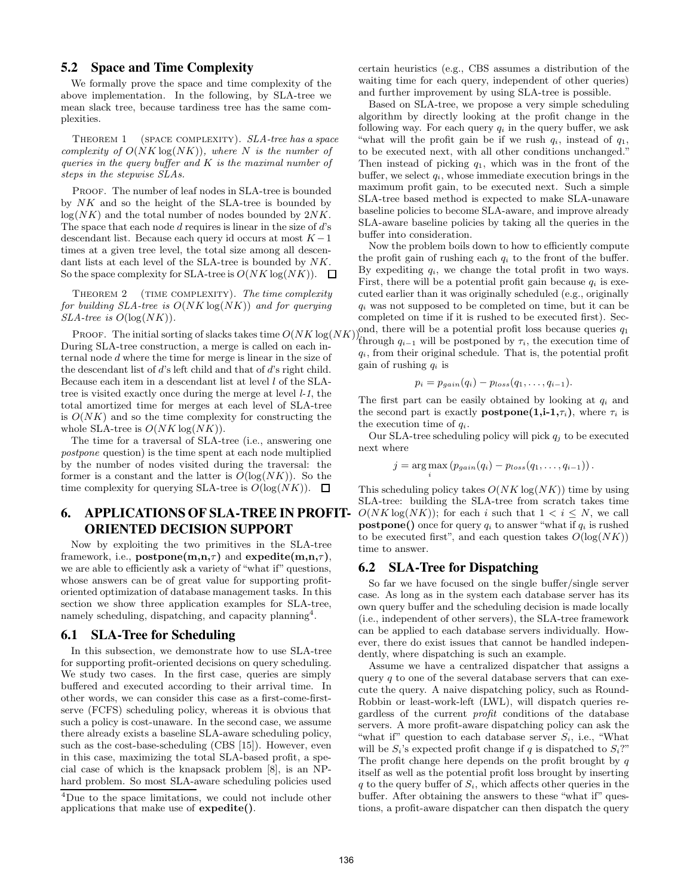#### **5.2 Space and Time Complexity**

We formally prove the space and time complexity of the above implementation. In the following, by SLA-tree we mean slack tree, because tardiness tree has the same complexities.

Theorem 1 (space complexity). *SLA-tree has a space complexity of* O(NK log(NK))*, where* N *is the number of queries in the query buffer and* K *is the maximal number of steps in the stepwise SLAs.*

PROOF. The number of leaf nodes in SLA-tree is bounded by NK and so the height of the SLA-tree is bounded by  $log(NK)$  and the total number of nodes bounded by  $2NK$ . The space that each node  $d$  requires is linear in the size of  $d$ 's descendant list. Because each query id occurs at most  $K - 1$ times at a given tree level, the total size among all descendant lists at each level of the SLA-tree is bounded by NK. So the space complexity for SLA-tree is  $O(NK \log(NK))$ .  $\Box$ 

THEOREM 2 (TIME COMPLEXITY). *The time complexity for building SLA-tree is* O(NK log(NK)) *and for querying SLA-tree is* O(log(NK))*.*

PROOF. The initial sorting of slacks takes time  $O(NK \log(NK))$ . During SLA-tree construction, a merge is called on each internal node d where the time for merge is linear in the size of the descendant list of d's left child and that of d's right child. Because each item in a descendant list at level l of the SLAtree is visited exactly once during the merge at level *l-1*, the total amortized time for merges at each level of SLA-tree is  $O(NK)$  and so the time complexity for constructing the whole SLA-tree is  $O(NK \log(NK))$ .

The time for a traversal of SLA-tree (i.e., answering one *postpone* question) is the time spent at each node multiplied by the number of nodes visited during the traversal: the former is a constant and the latter is  $O(log(NK))$ . So the time complexity for querying SLA-tree is  $O(\log(NK))$ .  $\Box$ 

# **6. APPLICATIONS OF SLA-TREE IN PROFIT-ORIENTED DECISION SUPPORT**

Now by exploiting the two primitives in the SLA-tree framework, i.e.,  $postcone(m,n,\tau)$  and  $expectite(m,n,\tau)$ , we are able to efficiently ask a variety of "what if" questions, whose answers can be of great value for supporting profitoriented optimization of database management tasks. In this section we show three application examples for SLA-tree, namely scheduling, dispatching, and capacity planning<sup>4</sup>.

#### **6.1 SLA-Tree for Scheduling**

In this subsection, we demonstrate how to use SLA-tree for supporting profit-oriented decisions on query scheduling. We study two cases. In the first case, queries are simply buffered and executed according to their arrival time. In other words, we can consider this case as a first-come-firstserve (FCFS) scheduling policy, whereas it is obvious that such a policy is cost-unaware. In the second case, we assume there already exists a baseline SLA-aware scheduling policy, such as the cost-base-scheduling (CBS [15]). However, even in this case, maximizing the total SLA-based profit, a special case of which is the knapsack problem [8], is an NPhard problem. So most SLA-aware scheduling policies used

<sup>4</sup>Due to the space limitations, we could not include other applications that make use of expedite().

certain heuristics (e.g., CBS assumes a distribution of the waiting time for each query, independent of other queries) and further improvement by using SLA-tree is possible.

Based on SLA-tree, we propose a very simple scheduling algorithm by directly looking at the profit change in the following way. For each query  $q_i$  in the query buffer, we ask "what will the profit gain be if we rush  $q_i$ , instead of  $q_1$ , to be executed next, with all other conditions unchanged." Then instead of picking  $q_1$ , which was in the front of the buffer, we select  $q_i$ , whose immediate execution brings in the maximum profit gain, to be executed next. Such a simple SLA-tree based method is expected to make SLA-unaware baseline policies to become SLA-aware, and improve already SLA-aware baseline policies by taking all the queries in the buffer into consideration.

Now the problem boils down to how to efficiently compute the profit gain of rushing each  $q_i$  to the front of the buffer. By expediting  $q_i$ , we change the total profit in two ways. First, there will be a potential profit gain because  $q_i$  is executed earlier than it was originally scheduled (e.g., originally  $q_i$  was not supposed to be completed on time, but it can be completed on time if it is rushed to be executed first). Second, there will be a potential profit loss because queries  $q_1$ through  $q_{i-1}$  will be postponed by  $\tau_i$ , the execution time of  $q_i$ , from their original schedule. That is, the potential profit gain of rushing  $q_i$  is

$$
p_i = p_{gain}(q_i) - p_{loss}(q_1,\ldots,q_{i-1}).
$$

The first part can be easily obtained by looking at  $q_i$  and the second part is exactly **postpone** $(1,i-1,\tau_i)$ , where  $\tau_i$  is the execution time of  $q_i$ .

Our SLA-tree scheduling policy will pick  $q_i$  to be executed next where

$$
j = \arg \max (p_{gain}(q_i) - p_{loss}(q_1, \ldots, q_{i-1})).
$$

This scheduling policy takes  $O(NK \log(NK))$  time by using SLA-tree: building the SLA-tree from scratch takes time  $O(NK \log(NK))$ ; for each i such that  $1 \lt i \leq N$ , we call **postpone**() once for query  $q_i$  to answer "what if  $q_i$  is rushed to be executed first", and each question takes  $O(log(NK))$ time to answer.

#### **6.2 SLA-Tree for Dispatching**

i

So far we have focused on the single buffer/single server case. As long as in the system each database server has its own query buffer and the scheduling decision is made locally (i.e., independent of other servers), the SLA-tree framework can be applied to each database servers individually. However, there do exist issues that cannot be handled independently, where dispatching is such an example.

Assume we have a centralized dispatcher that assigns a query  $q$  to one of the several database servers that can execute the query. A naive dispatching policy, such as Round-Robbin or least-work-left (LWL), will dispatch queries regardless of the current *profit* conditions of the database servers. A more profit-aware dispatching policy can ask the "what if" question to each database server  $S_i$ , i.e., "What will be  $S_i$ 's expected profit change if q is dispatched to  $S_i$ ?" The profit change here depends on the profit brought by  $q$ itself as well as the potential profit loss brought by inserting q to the query buffer of  $S_i$ , which affects other queries in the buffer. After obtaining the answers to these "what if" questions, a profit-aware dispatcher can then dispatch the query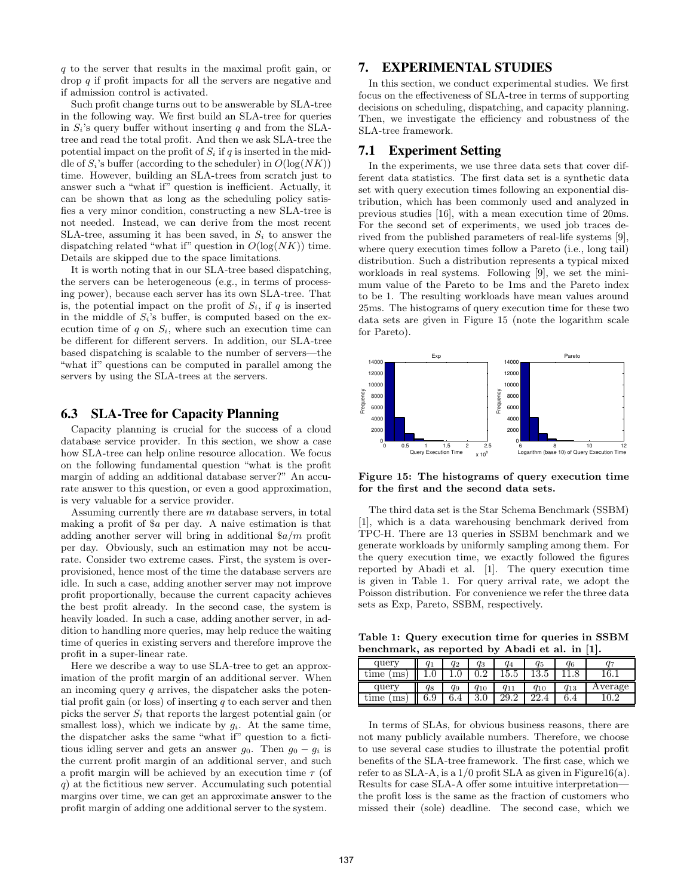q to the server that results in the maximal profit gain, or drop q if profit impacts for all the servers are negative and if admission control is activated.

Such profit change turns out to be answerable by SLA-tree in the following way. We first build an SLA-tree for queries in  $S_i$ 's query buffer without inserting q and from the SLAtree and read the total profit. And then we ask SLA-tree the potential impact on the profit of  $S_i$  if q is inserted in the middle of  $S_i$ 's buffer (according to the scheduler) in  $O(\log(NK))$ time. However, building an SLA-trees from scratch just to answer such a "what if" question is inefficient. Actually, it can be shown that as long as the scheduling policy satisfies a very minor condition, constructing a new SLA-tree is not needed. Instead, we can derive from the most recent SLA-tree, assuming it has been saved, in  $S_i$  to answer the dispatching related "what if" question in  $O(log(NK))$  time. Details are skipped due to the space limitations.

It is worth noting that in our SLA-tree based dispatching, the servers can be heterogeneous (e.g., in terms of processing power), because each server has its own SLA-tree. That is, the potential impact on the profit of  $S_i$ , if q is inserted in the middle of  $S_i$ 's buffer, is computed based on the execution time of  $q$  on  $S_i$ , where such an execution time can be different for different servers. In addition, our SLA-tree based dispatching is scalable to the number of servers—the "what if" questions can be computed in parallel among the servers by using the SLA-trees at the servers.

#### **6.3 SLA-Tree for Capacity Planning**

Capacity planning is crucial for the success of a cloud database service provider. In this section, we show a case how SLA-tree can help online resource allocation. We focus on the following fundamental question "what is the profit margin of adding an additional database server?" An accurate answer to this question, or even a good approximation, is very valuable for a service provider.

Assuming currently there are m database servers, in total making a profit of \$a per day. A naive estimation is that adding another server will bring in additional  $\alpha/m$  profit per day. Obviously, such an estimation may not be accurate. Consider two extreme cases. First, the system is overprovisioned, hence most of the time the database servers are idle. In such a case, adding another server may not improve profit proportionally, because the current capacity achieves the best profit already. In the second case, the system is heavily loaded. In such a case, adding another server, in addition to handling more queries, may help reduce the waiting time of queries in existing servers and therefore improve the profit in a super-linear rate.

Here we describe a way to use SLA-tree to get an approximation of the profit margin of an additional server. When an incoming query  $q$  arrives, the dispatcher asks the potential profit gain (or loss) of inserting  $q$  to each server and then picks the server  $S_i$  that reports the largest potential gain (or smallest loss), which we indicate by  $g_i$ . At the same time, the dispatcher asks the same "what if" question to a fictitious idling server and gets an answer  $g_0$ . Then  $g_0 - g_i$  is the current profit margin of an additional server, and such a profit margin will be achieved by an execution time  $\tau$  (of q) at the fictitious new server. Accumulating such potential margins over time, we can get an approximate answer to the profit margin of adding one additional server to the system.

# **7. EXPERIMENTAL STUDIES**

In this section, we conduct experimental studies. We first focus on the effectiveness of SLA-tree in terms of supporting decisions on scheduling, dispatching, and capacity planning. Then, we investigate the efficiency and robustness of the SLA-tree framework.

#### **7.1 Experiment Setting**

In the experiments, we use three data sets that cover different data statistics. The first data set is a synthetic data set with query execution times following an exponential distribution, which has been commonly used and analyzed in previous studies [16], with a mean execution time of 20ms. For the second set of experiments, we used job traces derived from the published parameters of real-life systems [9], where query execution times follow a Pareto (i.e., long tail) distribution. Such a distribution represents a typical mixed workloads in real systems. Following [9], we set the minimum value of the Pareto to be 1ms and the Pareto index to be 1. The resulting workloads have mean values around 25ms. The histograms of query execution time for these two data sets are given in Figure 15 (note the logarithm scale for Pareto).



Figure 15: The histograms of query execution time for the first and the second data sets.

The third data set is the Star Schema Benchmark (SSBM) [1], which is a data warehousing benchmark derived from TPC-H. There are 13 queries in SSBM benchmark and we generate workloads by uniformly sampling among them. For the query execution time, we exactly followed the figures reported by Abadi et al. [1]. The query execution time is given in Table 1. For query arrival rate, we adopt the Poisson distribution. For convenience we refer the three data sets as Exp, Pareto, SSBM, respectively.

Table 1: Query execution time for queries in SSBM benchmark, as reported by Abadi et al. in [1].

| query                        |     | $q_2$ | qз                          | q4       | q5          | q6       | q7     |
|------------------------------|-----|-------|-----------------------------|----------|-------------|----------|--------|
| $_{\rm time}$<br>$\rm ms$    | ı.v |       | $\ddot{\phantom{0}}$<br>∪.∠ | 6.GI     | । २<br>10.U |          | 16. .  |
| query                        | q8  | q9    | $q_{10}$                    | $q_{11}$ | $q_{10}$    | $q_{13}$ | verage |
| $_{\rm ms}$<br>$_{\rm time}$ | 6.9 | 6.4   | 3.U                         |          |             | 6.4      |        |

In terms of SLAs, for obvious business reasons, there are not many publicly available numbers. Therefore, we choose to use several case studies to illustrate the potential profit benefits of the SLA-tree framework. The first case, which we refer to as  $SLA-A$ , is a  $1/0$  profit  $SLA$  as given in Figure16(a). Results for case SLA-A offer some intuitive interpretation the profit loss is the same as the fraction of customers who missed their (sole) deadline. The second case, which we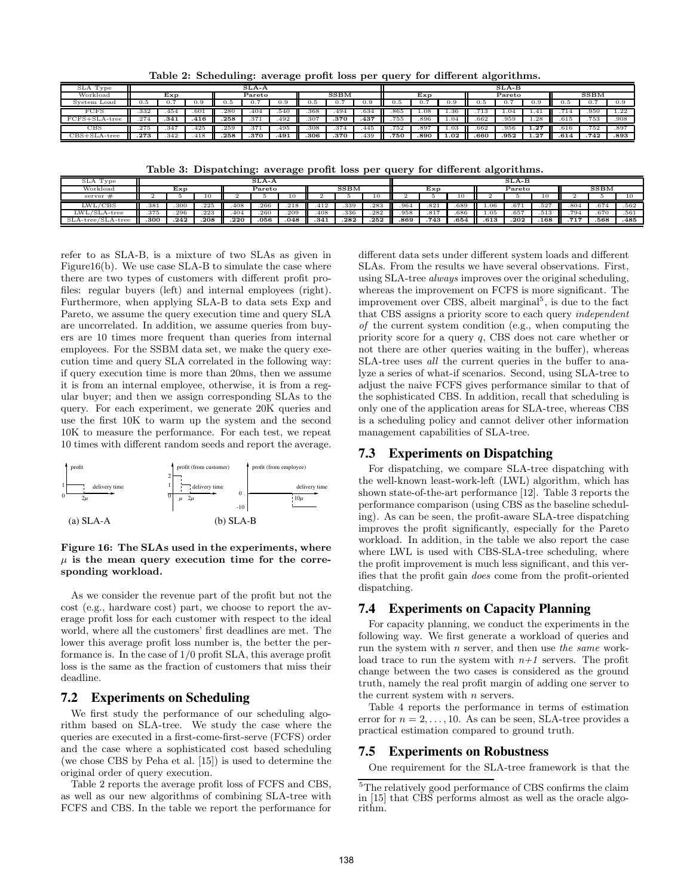Table 2: Scheduling: average profit loss per query for different algorithms.

| SLA Type                     | $SLA-A$ |                  |      |      |        |      |      |             |      | $SLA-B$ |      |     |      |        |      |      |      |         |
|------------------------------|---------|------------------|------|------|--------|------|------|-------------|------|---------|------|-----|------|--------|------|------|------|---------|
| Workload                     |         | Exp              |      |      | Pareto |      |      | <b>SSBM</b> |      |         | Exp  |     |      | Pareto |      |      | SSBM |         |
| System Load                  | U. 5    |                  | 0.9  | J.O  |        | 0.9  | U.Ə  | u.          | 0.9  | 0.5     | υ.,  | 0.9 | 0.5  | U.,    | 0.9  | 0.5  | υ.   | 0.9     |
| $_{\rm FCFS}$                | .332    | .454             | .601 | .280 | 404    | .540 | .368 | 494         | .634 | .865    | 1.08 | .36 | 13   | 1.04   | 1.41 | '14  | .950 | ാറ<br>. |
| $FCFS + SLA$ -tree           | .274    | .341             | 416  | .258 | .371   | .492 | .307 | .370        | .437 | 755     | .896 | .04 | 662  | .959   | .28  | 615  | .753 | 908     |
| $_{\rm CBS}$                 | .275    | .34 <sup>7</sup> | 425  | .259 | .371   | .495 | .308 | .374        | 445  | .752    | .897 | .03 | .662 | .956   | 1.27 | 616  | .752 | .897    |
| $\text{CBS}+\text{SLA-tree}$ | .273    | .342             | 418  | .258 | .370   | 491  | .306 | .370        | 439  | .750    | .890 | .02 | .660 | .952   | 1.27 | .614 | 742  | .893    |

|  |  |  |  |  | Table 3: Dispatching: average profit loss per query for different algorithms. |
|--|--|--|--|--|-------------------------------------------------------------------------------|
|--|--|--|--|--|-------------------------------------------------------------------------------|

| SLA Type             |      | SLA-A |      |      |        |                    |        |      |      | $SLA-B$ |      |      |        |        |            |          |      |      |
|----------------------|------|-------|------|------|--------|--------------------|--------|------|------|---------|------|------|--------|--------|------------|----------|------|------|
| Workload             |      | Exp   |      |      | Pareto |                    |        | SSBM |      |         | Exp  |      |        | Pareto |            |          | SSBM |      |
| server $#$           |      |       | 10   |      |        | 10                 |        |      | 10   |         |      |      |        |        | 10         |          |      | 10   |
| LWL/CBS              | .381 | .30C  | .225 | .408 | .266   | .218               | $\sim$ | .339 | .283 | .964    | .821 | .689 | .06    | .671   | 505<br>ے د | .804     | .674 | .562 |
| LWL/<br>/SLA-tree    | .375 | .296  | .223 | 404  | .260   | .209               | .408   | .336 | .282 | .958    | .817 | 686  | . . 05 | .65    | .          | 794      | .670 | .561 |
| $SLA$ -tree/SLA-tree | .300 | .242  | .208 | .220 | .056   | .048<br><b>THE</b> | .341   | .282 | .252 | .869    | 743  | .654 | .613   | .202   | 168        | 717<br>. | .568 | .485 |

refer to as SLA-B, is a mixture of two SLAs as given in Figure16(b). We use case SLA-B to simulate the case where there are two types of customers with different profit profiles: regular buyers (left) and internal employees (right). Furthermore, when applying SLA-B to data sets Exp and Pareto, we assume the query execution time and query SLA are uncorrelated. In addition, we assume queries from buyers are 10 times more frequent than queries from internal employees. For the SSBM data set, we make the query execution time and query SLA correlated in the following way: if query execution time is more than 20ms, then we assume it is from an internal employee, otherwise, it is from a regular buyer; and then we assign corresponding SLAs to the query. For each experiment, we generate 20K queries and use the first 10K to warm up the system and the second 10K to measure the performance. For each test, we repeat 10 times with different random seeds and report the average.



#### Figure 16: The SLAs used in the experiments, where  $\mu$  is the mean query execution time for the corresponding workload.

As we consider the revenue part of the profit but not the cost (e.g., hardware cost) part, we choose to report the average profit loss for each customer with respect to the ideal world, where all the customers' first deadlines are met. The lower this average profit loss number is, the better the performance is. In the case of 1/0 profit SLA, this average profit loss is the same as the fraction of customers that miss their deadline.

#### **7.2 Experiments on Scheduling**

We first study the performance of our scheduling algorithm based on SLA-tree. We study the case where the queries are executed in a first-come-first-serve (FCFS) order and the case where a sophisticated cost based scheduling (we chose CBS by Peha et al. [15]) is used to determine the original order of query execution.

Table 2 reports the average profit loss of FCFS and CBS, as well as our new algorithms of combining SLA-tree with FCFS and CBS. In the table we report the performance for different data sets under different system loads and different SLAs. From the results we have several observations. First, using SLA-tree *always* improves over the original scheduling, whereas the improvement on FCFS is more significant. The improvement over CBS, albeit marginal<sup>5</sup>, is due to the fact that CBS assigns a priority score to each query *independent of* the current system condition (e.g., when computing the priority score for a query q, CBS does not care whether or not there are other queries waiting in the buffer), whereas SLA-tree uses *all* the current queries in the buffer to analyze a series of what-if scenarios. Second, using SLA-tree to adjust the naive FCFS gives performance similar to that of the sophisticated CBS. In addition, recall that scheduling is only one of the application areas for SLA-tree, whereas CBS is a scheduling policy and cannot deliver other information management capabilities of SLA-tree.

# **7.3 Experiments on Dispatching**

For dispatching, we compare SLA-tree dispatching with the well-known least-work-left (LWL) algorithm, which has shown state-of-the-art performance [12]. Table 3 reports the performance comparison (using CBS as the baseline scheduling). As can be seen, the profit-aware SLA-tree dispatching improves the profit significantly, especially for the Pareto workload. In addition, in the table we also report the case where LWL is used with CBS-SLA-tree scheduling, where the profit improvement is much less significant, and this verifies that the profit gain *does* come from the profit-oriented dispatching.

## **7.4 Experiments on Capacity Planning**

For capacity planning, we conduct the experiments in the following way. We first generate a workload of queries and run the system with n server, and then use *the same* workload trace to run the system with  $n+1$  servers. The profit change between the two cases is considered as the ground truth, namely the real profit margin of adding one server to the current system with  $n$  servers.

Table 4 reports the performance in terms of estimation error for  $n = 2, \ldots, 10$ . As can be seen, SLA-tree provides a practical estimation compared to ground truth.

#### **7.5 Experiments on Robustness**

One requirement for the SLA-tree framework is that the

<sup>&</sup>lt;sup>5</sup>The relatively good performance of CBS confirms the claim in [15] that CBS performs almost as well as the oracle algorithm.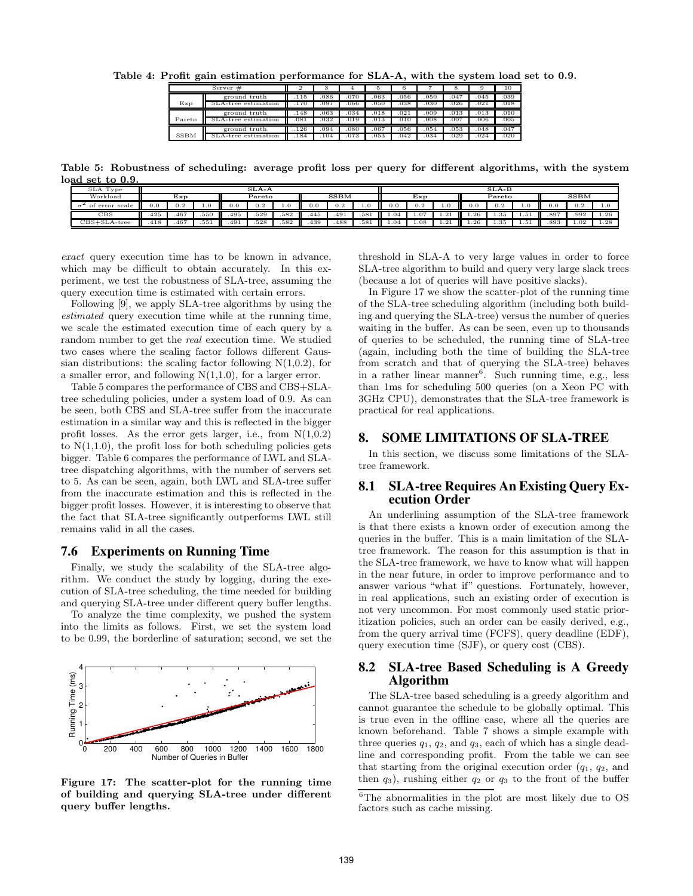Table 4: Profit gain estimation performance for SLA-A, with the system load set to 0.9.

|        | Server $#$          |      |      |      | Ο    |      |      |      | 9    | 10   |
|--------|---------------------|------|------|------|------|------|------|------|------|------|
|        | ground truth        | 115  | 086  | 070  | .063 | 056  | .050 | .047 | .045 | .039 |
| Exp    | SLA-tree estimation |      | .097 | .066 | .050 | 038  | .030 | .026 | .021 | .018 |
|        | ground truth        | 148  | .063 | 034  | .018 | 021  | .009 | .013 | .013 | .010 |
| Pareto | SLA-tree estimation | .081 | .032 | 019  | .013 | 010  | .008 | :00  | .006 | .005 |
|        | ground truth        | 126  | .094 | 080  | .067 | 056  | .054 | .053 | .048 | .047 |
| SSBM   | SLA-tree estimation | 184  | 104  | .073 | .053 | .042 | .034 | .029 | .024 | .020 |

Table 5: Robustness of scheduling: average profit loss per query for different algorithms, with the system load set to 0.9.

| SLA Type        | $SLA-A$ |      |                  |      |        |      |     |      | $SLA-B$ |          |      |          |      |          |                  |          |      |           |
|-----------------|---------|------|------------------|------|--------|------|-----|------|---------|----------|------|----------|------|----------|------------------|----------|------|-----------|
| Workload        |         | Exp  |                  |      | Pareto |      |     | SSBM |         |          | Exp  |          |      | Pareto   |                  |          | SSBM |           |
| scale<br>error  | 0.١     | ററ   | $\pm \cdot \cup$ | 0.0  | 0.2    |      | 0.0 | 0.2  | 1.0     | $_{0.0}$ | 0.2  | 1.0      | 0.0  | 0.2      | 1.0              | $_{0.0}$ | 0.2  | $\pm 0.0$ |
| $_{\text{CBS}}$ | 425     | .467 | .550             | .495 | 529    | .582 | 445 | .491 | .581    | 1.04     | 1.07 | $\Omega$ | 1.26 | $1.35\,$ | 1.51             | .897     | .992 | 1.26      |
| $CBS+SLA-tree$  | 418     | .467 | .551             | .491 | 528    | .582 | 439 | 488  | .581    | 1.04     | 1.08 | 21       | .26  | 1.35     | $\sim$ .<br>'.51 | .893     | 1.02 | 1.28      |

*exact* query execution time has to be known in advance, which may be difficult to obtain accurately. In this experiment, we test the robustness of SLA-tree, assuming the query execution time is estimated with certain errors.

Following [9], we apply SLA-tree algorithms by using the *estimated* query execution time while at the running time, we scale the estimated execution time of each query by a random number to get the *real* execution time. We studied two cases where the scaling factor follows different Gaussian distributions: the scaling factor following  $N(1,0.2)$ , for a smaller error, and following  $N(1,1.0)$ , for a larger error.

Table 5 compares the performance of CBS and CBS+SLAtree scheduling policies, under a system load of 0.9. As can be seen, both CBS and SLA-tree suffer from the inaccurate estimation in a similar way and this is reflected in the bigger profit losses. As the error gets larger, i.e., from  $N(1,0.2)$ to  $N(1,1.0)$ , the profit loss for both scheduling policies gets bigger. Table 6 compares the performance of LWL and SLAtree dispatching algorithms, with the number of servers set to 5. As can be seen, again, both LWL and SLA-tree suffer from the inaccurate estimation and this is reflected in the bigger profit losses. However, it is interesting to observe that the fact that SLA-tree significantly outperforms LWL still remains valid in all the cases.

#### **7.6 Experiments on Running Time**

Finally, we study the scalability of the SLA-tree algorithm. We conduct the study by logging, during the execution of SLA-tree scheduling, the time needed for building and querying SLA-tree under different query buffer lengths.

To analyze the time complexity, we pushed the system into the limits as follows. First, we set the system load to be 0.99, the borderline of saturation; second, we set the



Figure 17: The scatter-plot for the running time of building and querying SLA-tree under different query buffer lengths.

threshold in SLA-A to very large values in order to force SLA-tree algorithm to build and query very large slack trees (because a lot of queries will have positive slacks).

In Figure 17 we show the scatter-plot of the running time of the SLA-tree scheduling algorithm (including both building and querying the SLA-tree) versus the number of queries waiting in the buffer. As can be seen, even up to thousands of queries to be scheduled, the running time of SLA-tree (again, including both the time of building the SLA-tree from scratch and that of querying the SLA-tree) behaves in a rather linear manner<sup>6</sup>. Such running time, e.g., less than 1ms for scheduling 500 queries (on a Xeon PC with 3GHz CPU), demonstrates that the SLA-tree framework is practical for real applications.

#### **8. SOME LIMITATIONS OF SLA-TREE**

In this section, we discuss some limitations of the SLAtree framework.

# **8.1 SLA-tree Requires An Existing Query Execution Order**

An underlining assumption of the SLA-tree framework is that there exists a known order of execution among the queries in the buffer. This is a main limitation of the SLAtree framework. The reason for this assumption is that in the SLA-tree framework, we have to know what will happen in the near future, in order to improve performance and to answer various "what if" questions. Fortunately, however, in real applications, such an existing order of execution is not very uncommon. For most commonly used static prioritization policies, such an order can be easily derived, e.g., from the query arrival time (FCFS), query deadline (EDF), query execution time (SJF), or query cost (CBS).

## **8.2 SLA-tree Based Scheduling is A Greedy Algorithm**

The SLA-tree based scheduling is a greedy algorithm and cannot guarantee the schedule to be globally optimal. This is true even in the offline case, where all the queries are known beforehand. Table 7 shows a simple example with three queries  $q_1$ ,  $q_2$ , and  $q_3$ , each of which has a single deadline and corresponding profit. From the table we can see that starting from the original execution order  $(q_1, q_2, \text{and})$ then  $q_3$ ), rushing either  $q_2$  or  $q_3$  to the front of the buffer

<sup>6</sup>The abnormalities in the plot are most likely due to OS factors such as cache missing.